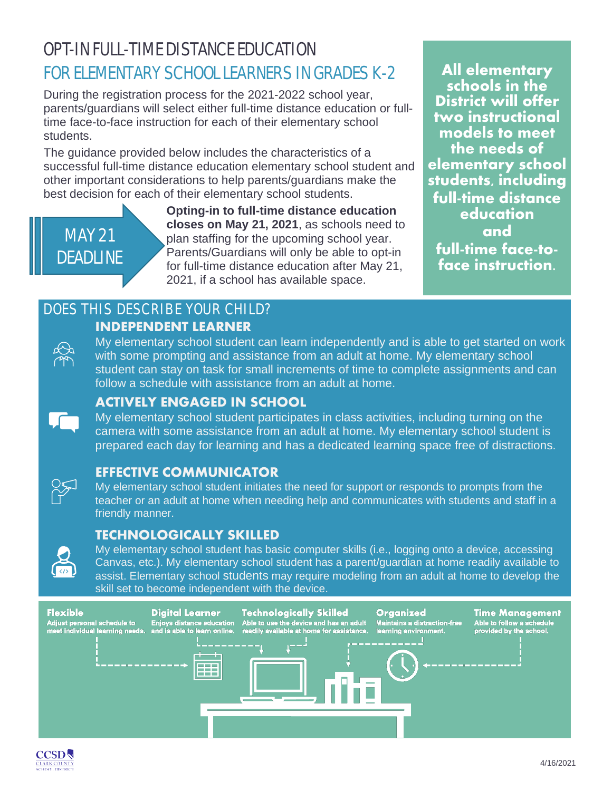# OPT-IN FULL-TIME DISTANCE EDUCATION FOR ELEMENTARY SCHOOL LEARNERS IN GRADES K-2 **All elementary**

During the registration process for the 2021-2022 school year, parents/guardians will select either full-time distance education or fulltime face-to-face instruction for each of their elementary school students.

The guidance provided below includes the characteristics of a successful full-time distance education elementary school student and other important considerations to help parents/guardians make the best decision for each of their elementary school students.



**Opting-in to full-time distance education closes on May 21, 2021**, as schools need to plan staffing for the upcoming school year. Parents/Guardians will only be able to opt-in for full-time distance education after May 21, 2021, if a school has available space.

**schools in the District will offer two instructional models to meet the needs of elementary school students, including full-time distance education and full-time face-to- face instruction.**

### DOES THIS DESCRIBE YOUR CHILD? **INDEPENDENT LEARNER**

My elementary school student can learn independently and is able to get started on work with some prompting and assistance from an adult at home. My elementary school student can stay on task for small increments of time to complete assignments and can follow a schedule with assistance from an adult at home.

### **ACTIVELY ENGAGED IN SCHOOL**

My elementary school student participates in class activities, including turning on the camera with some assistance from an adult at home. My elementary school student is prepared each day for learning and has a dedicated learning space free of distractions.

### **EFFECTIVE COMMUNICATOR**

My elementary school student initiates the need for support or responds to prompts from the teacher or an adult at home when needing help and communicates with students and staff in a friendly manner.

### **TECHNOLOGICALLY SKILLED**



My elementary school student has basic computer skills (i.e., logging onto a device, accessing Canvas, etc.). My elementary school student has a parent/guardian at home readily available to assist. Elementary school students may require modeling from an adult at home to develop the skill set to become independent with the device.



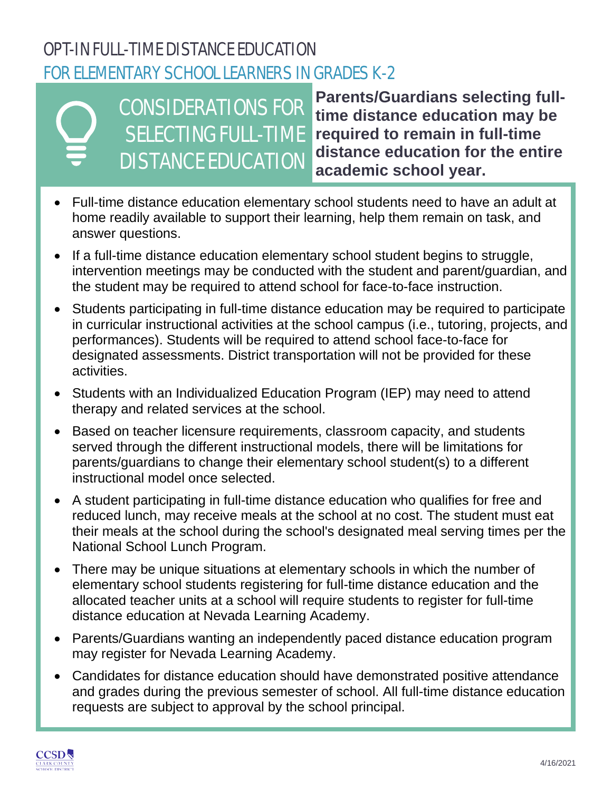# OPT-IN FULL-TIME DISTANCE EDUCATION FOR ELEMENTARY SCHOOL LEARNERS IN GRADES K-2



CONSIDERATIONS FOR SELECTING FULL-TIME DISTANCE EDUCATION

**Parents/Guardians selecting fulltime distance education may be required to remain in full-time distance education for the entire academic school year.**

- Full-time distance education elementary school students need to have an adult at home readily available to support their learning, help them remain on task, and answer questions.
- If a full-time distance education elementary school student begins to struggle, intervention meetings may be conducted with the student and parent/guardian, and the student may be required to attend school for face-to-face instruction.
- Students participating in full-time distance education may be required to participate in curricular instructional activities at the school campus (i.e., tutoring, projects, and performances). Students will be required to attend school face-to-face for designated assessments. District transportation will not be provided for these activities.
- Students with an Individualized Education Program (IEP) may need to attend therapy and related services at the school.
- Based on teacher licensure requirements, classroom capacity, and students served through the different instructional models, there will be limitations for parents/guardians to change their elementary school student(s) to a different instructional model once selected.
- A student participating in full-time distance education who qualifies for free and reduced lunch, may receive meals at the school at no cost. The student must eat their meals at the school during the school's designated meal serving times per the National School Lunch Program.
- There may be unique situations at elementary schools in which the number of elementary school students registering for full-time distance education and the allocated teacher units at a school will require students to register for full-time distance education at Nevada Learning Academy.
- Parents/Guardians wanting an independently paced distance education program may register for Nevada Learning Academy.
- Candidates for distance education should have demonstrated positive attendance and grades during the previous semester of school. All full-time distance education requests are subject to approval by the school principal.

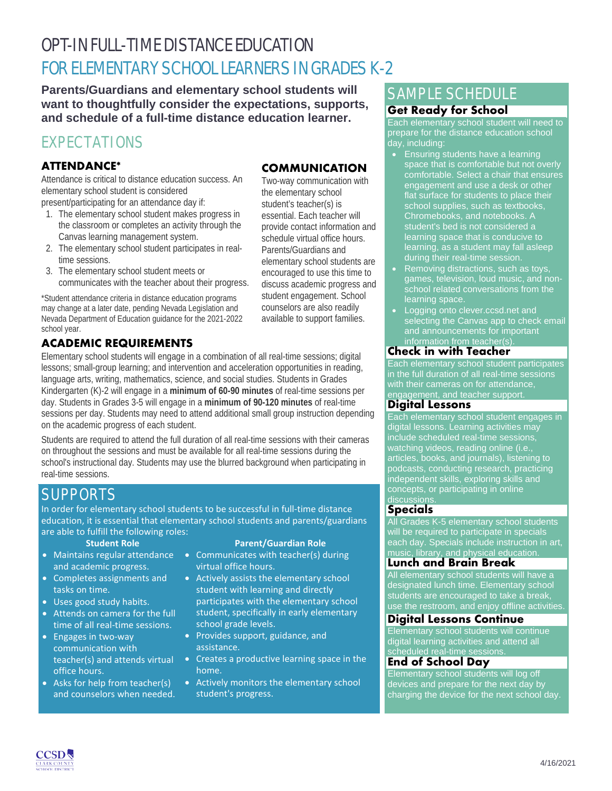# OPT-IN FULL-TIME DISTANCE EDUCATION FOR ELEMENTARY SCHOOL LEARNERS IN GRADES K-2

**Parents/Guardians and elementary school students will want to thoughtfully consider the expectations, supports, and schedule of a full-time distance education learner.**

# EXPECTATIONS

### **ATTENDANCE\***

Attendance is critical to distance education success. An elementary school student is considered

present/participating for an attendance day if:

- 1. The elementary school student makes progress in the classroom or completes an activity through the Canvas learning management system.
- 2. The elementary school student participates in realtime sessions.
- 3. The elementary school student meets or communicates with the teacher about their progress.

\*Student attendance criteria in distance education programs may change at a later date, pending Nevada Legislation and Nevada Department of Education guidance for the 2021-2022 school year.

### **ACADEMIC REQUIREMENTS**

Elementary school students will engage in a combination of all real-time sessions; digital lessons; small-group learning; and intervention and acceleration opportunities in reading, language arts, writing, mathematics, science, and social studies. Students in Grades Kindergarten (K)-2 will engage in a **minimum of 60-90 minutes** of real-time sessions per day. Students in Grades 3-5 will engage in a **minimum of 90-120 minutes** of real-time sessions per day. Students may need to attend additional small group instruction depending on the academic progress of each student.

Students are required to attend the full duration of all real-time sessions with their cameras on throughout the sessions and must be available for all real-time sessions during the school's instructional day. Students may use the blurred background when participating in real-time sessions.

# **SUPPORTS**

In order for elementary school students to be successful in full-time distance education, it is essential that elementary school students and parents/guardians are able to fulfill the following roles:

- Maintains regular attendance and academic progress.
- Completes assignments and tasks on time.
- Uses good study habits.
- Attends on camera for the full time of all real-time sessions.
- Engages in two-way communication with teacher(s) and attends virtual office hours.
- Asks for help from teacher(s) and counselors when needed.

#### **Student Role Parent/Guardian Role**

- Communicates with teacher(s) during virtual office hours.
- Actively assists the elementary school student with learning and directly participates with the elementary school student, specifically in early elementary school grade levels.
- Provides support, guidance, and assistance.
- Creates a productive learning space in the home.
- Actively monitors the elementary school student's progress.

# SAMPLE SCHEDULE

### **Get Ready for School**

Each elementary school student will need to prepare for the distance education school day, including:

- Ensuring students have a learning space that is comfortable but not overly comfortable. Select a chair that ensures engagement and use a desk or other flat surface for students to place their school supplies, such as textbooks, Chromebooks, and notebooks. A student's bed is not considered a learning space that is conducive to learning, as a student may fall asleep during their real-time session.
- Removing distractions, such as toys, games, television, loud music, and nonschool related conversations from the learning space.
- Logging onto clever.ccsd.net and selecting the Canvas app to check email and announcements for important information from teacher(s).

### **Check in with Teacher**

Each elementary school student participates in the full duration of all real-time sessions with their cameras on for attendance, engagement, and teacher support.

### **Digital Lessons**

Each elementary school student engages in digital lessons. Learning activities may include scheduled real-time sessions, watching videos, reading online (i.e., articles, books, and journals), listening to podcasts, conducting research, practicing independent skills, exploring skills and concepts, or participating in online discussions.

### **Specials**

All Grades K-5 elementary school students will be required to participate in specials each day. Specials include instruction in art, music, library, and physical education.

### **Lunch and Brain Break**

All elementary school students will have a designated lunch time. Elementary school students are encouraged to take a break, watch the choomaged to take a break,<br>use the restroom, and enjoy offline activities.

### **Digital Lessons Continue**

Elementary school students will continue digital learning activities and attend all scheduled real-time sessions.

### **End of School Day**

Elementary school students will log off devices and prepare for the next day by charging the device for the next school day.



Two-way communication with the elementary school student's teacher(s) is essential. Each teacher will provide contact information and schedule virtual office hours. Parents/Guardians and elementary school students are encouraged to use this time to discuss academic progress and student engagement. School counselors are also readily available to support families.

**COMMUNICATION**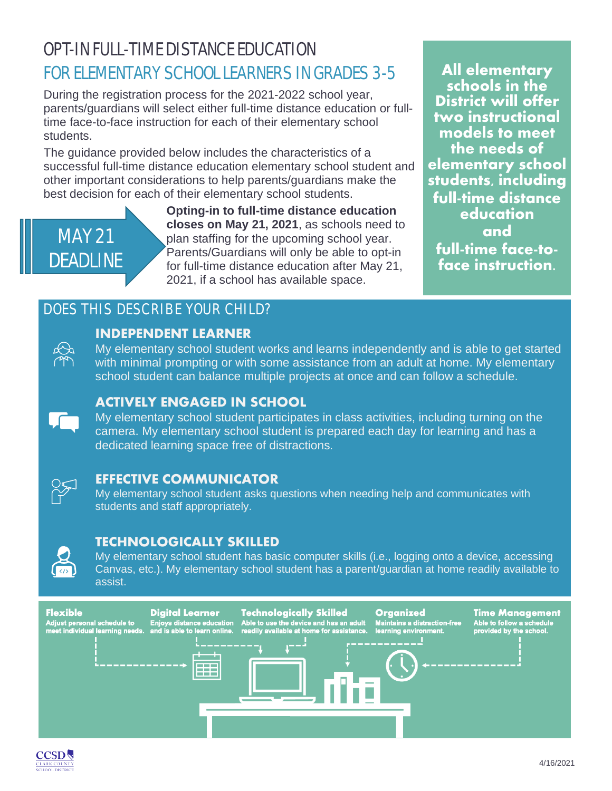# OPT-IN FULL-TIME DISTANCE EDUCATION FOR ELEMENTARY SCHOOL LEARNERS IN GRADES 3-5 **All elementary**

During the registration process for the 2021-2022 school year, parents/guardians will select either full-time distance education or fulltime face-to-face instruction for each of their elementary school students.

The guidance provided below includes the characteristics of a successful full-time distance education elementary school student and other important considerations to help parents/guardians make the best decision for each of their elementary school students.



**Opting-in to full-time distance education closes on May 21, 2021**, as schools need to plan staffing for the upcoming school year. Parents/Guardians will only be able to opt-in for full-time distance education after May 21, 2021, if a school has available space.

**schools in the District will offer two instructional models to meet the needs of elementary school students, including full-time distance education and full-time face-to- face instruction.**

## DOES THIS DESCRIBE YOUR CHILD?



### **INDEPENDENT LEARNER**

My elementary school student works and learns independently and is able to get started with minimal prompting or with some assistance from an adult at home. My elementary school student can balance multiple projects at once and can follow a schedule.



### **ACTIVELY ENGAGED IN SCHOOL**

My elementary school student participates in class activities, including turning on the camera. My elementary school student is prepared each day for learning and has a dedicated learning space free of distractions.



### **EFFECTIVE COMMUNICATOR**

My elementary school student asks questions when needing help and communicates with students and staff appropriately.

### **TECHNOLOGICALLY SKILLED**



My elementary school student has basic computer skills (i.e., logging onto a device, accessing Canvas, etc.). My elementary school student has a parent/guardian at home readily available to assist.



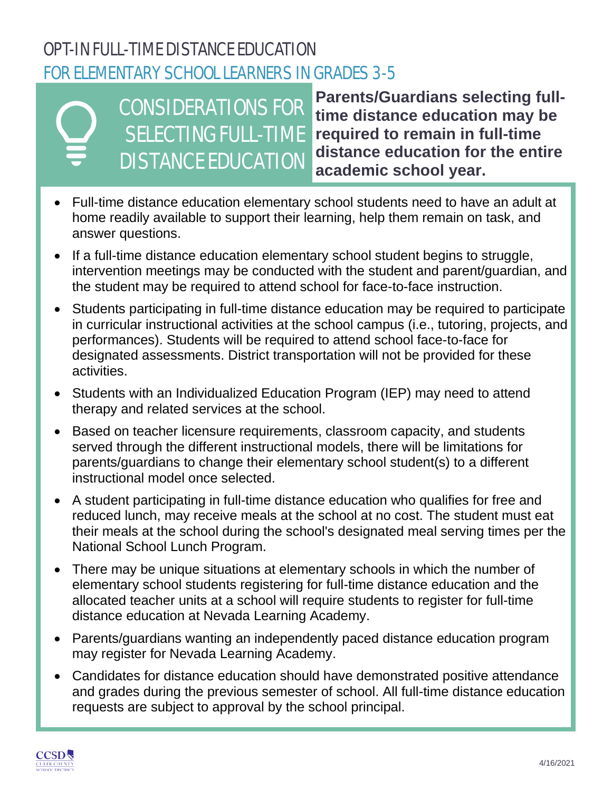# OPT-IN FULL-TIME DISTANCE EDUCATION FOR ELEMENTARY SCHOOL LEARNERS IN GRADES 3-5



CONSIDERATIONS FOR SELECTING FULL-TIME DISTANCE EDUCATION

**Parents/Guardians selecting fulltime distance education may be required to remain in full-time distance education for the entire academic school year.**

- Full-time distance education elementary school students need to have an adult at home readily available to support their learning, help them remain on task, and answer questions.
- If a full-time distance education elementary school student begins to struggle, intervention meetings may be conducted with the student and parent/guardian, and the student may be required to attend school for face-to-face instruction.
- Students participating in full-time distance education may be required to participate in curricular instructional activities at the school campus (i.e., tutoring, projects, and performances). Students will be required to attend school face-to-face for designated assessments. District transportation will not be provided for these activities.
- Students with an Individualized Education Program (IEP) may need to attend therapy and related services at the school.
- Based on teacher licensure requirements, classroom capacity, and students served through the different instructional models, there will be limitations for parents/guardians to change their elementary school student(s) to a different instructional model once selected.
- A student participating in full-time distance education who qualifies for free and reduced lunch, may receive meals at the school at no cost. The student must eat their meals at the school during the school's designated meal serving times per the National School Lunch Program.
- There may be unique situations at elementary schools in which the number of elementary school students registering for full-time distance education and the allocated teacher units at a school will require students to register for full-time distance education at Nevada Learning Academy.
- Parents/guardians wanting an independently paced distance education program may register for Nevada Learning Academy.
- Candidates for distance education should have demonstrated positive attendance and grades during the previous semester of school. All full-time distance education requests are subject to approval by the school principal.

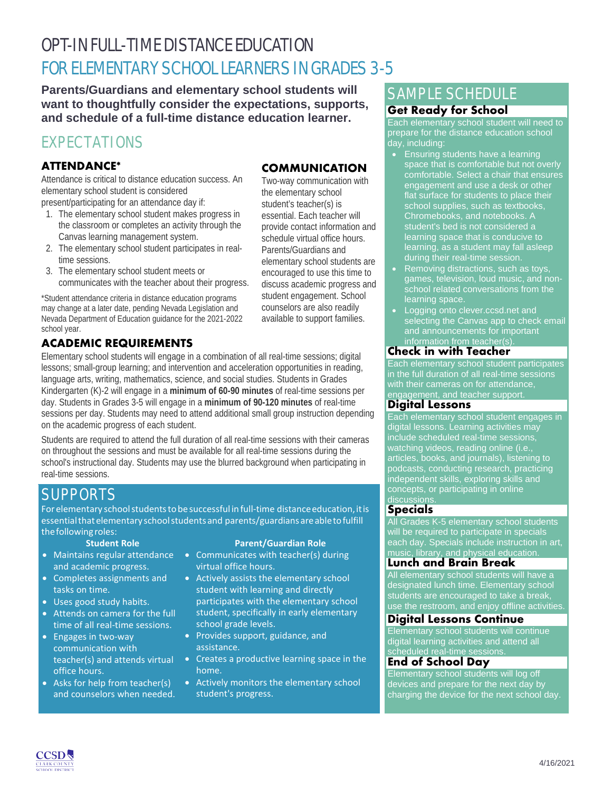# OPT-IN FULL-TIME DISTANCE EDUCATION FOR ELEMENTARY SCHOOL LEARNERS IN GRADES 3-5

**Parents/Guardians and elementary school students will want to thoughtfully consider the expectations, supports, and schedule of a full-time distance education learner.**

# EXPECTATIONS

### **ATTENDANCE\***

Attendance is critical to distance education success. An elementary school student is considered

present/participating for an attendance day if:

- 1. The elementary school student makes progress in the classroom or completes an activity through the Canvas learning management system.
- 2. The elementary school student participates in realtime sessions.
- 3. The elementary school student meets or communicates with the teacher about their progress.

\*Student attendance criteria in distance education programs may change at a later date, pending Nevada Legislation and Nevada Department of Education guidance for the 2021-2022 school year.

### **ACADEMIC REQUIREMENTS**

Elementary school students will engage in a combination of all real-time sessions; digital lessons; small-group learning; and intervention and acceleration opportunities in reading, language arts, writing, mathematics, science, and social studies. Students in Grades Kindergarten (K)-2 will engage in a **minimum of 60-90 minutes** of real-time sessions per day. Students in Grades 3-5 will engage in a **minimum of 90-120 minutes** of real-time sessions per day. Students may need to attend additional small group instruction depending on the academic progress of each student.

Students are required to attend the full duration of all real-time sessions with their cameras on throughout the sessions and must be available for all real-time sessions during the school's instructional day. Students may use the blurred background when participating in real-time sessions.

# **SUPPORTS**

For elementary school students to be successful in full-time distance education, it is essentialthatelementary schoolstudentsand parents/guardiansareabletofulfill the following roles:<br>Student Role

- Maintains regular attendance and academic progress.
- Completes assignments and tasks on time.
- Uses good study habits.
- Attends on camera for the full time of all real-time sessions.
- Engages in two-way communication with teacher(s) and attends virtual office hours.
- Asks for help from teacher(s) and counselors when needed.

#### **Student Role Parent/Guardian Role**

- Communicates with teacher(s) during virtual office hours.
- Actively assists the elementary school student with learning and directly participates with the elementary school student, specifically in early elementary school grade levels.
- Provides support, guidance, and assistance.
- Creates a productive learning space in the home.
- Actively monitors the elementary school student's progress.

# SAMPLE SCHEDULE

### **Get Ready for School**

Each elementary school student will need to prepare for the distance education school day, including:

- Ensuring students have a learning space that is comfortable but not overly comfortable. Select a chair that ensures engagement and use a desk or other flat surface for students to place their school supplies, such as textbooks, Chromebooks, and notebooks. A student's bed is not considered a learning space that is conducive to learning, as a student may fall asleep during their real-time session.
- Removing distractions, such as toys, games, television, loud music, and nonschool related conversations from the learning space.
- Logging onto clever.ccsd.net and selecting the Canvas app to check email and announcements for important information from teacher(s).

### **Check in with Teacher**

Each elementary school student participates in the full duration of all real-time sessions with their cameras on for attendance, engagement, and teacher support.

### **Digital Lessons**

Each elementary school student engages in digital lessons. Learning activities may include scheduled real-time sessions, watching videos, reading online (i.e., articles, books, and journals), listening to podcasts, conducting research, practicing independent skills, exploring skills and concepts, or participating in online discussions.

### **Specials**

All Grades K-5 elementary school students will be required to participate in specials each day. Specials include instruction in art, music, library, and physical education.

### **Lunch and Brain Break**

All elementary school students will have a designated lunch time. Elementary school students are encouraged to take a break, watch the choomaged to take a break,<br>use the restroom, and enjoy offline activities.

### **Digital Lessons Continue**

Elementary school students will continue digital learning activities and attend all scheduled real-time sessions.

### **End of School Day**

Elementary school students will log off devices and prepare for the next day by charging the device for the next school day.



Two-way communication with the elementary school student's teacher(s) is essential. Each teacher will provide contact information and schedule virtual office hours. Parents/Guardians and elementary school students are encouraged to use this time to discuss academic progress and student engagement. School counselors are also readily available to support families.

**COMMUNICATION**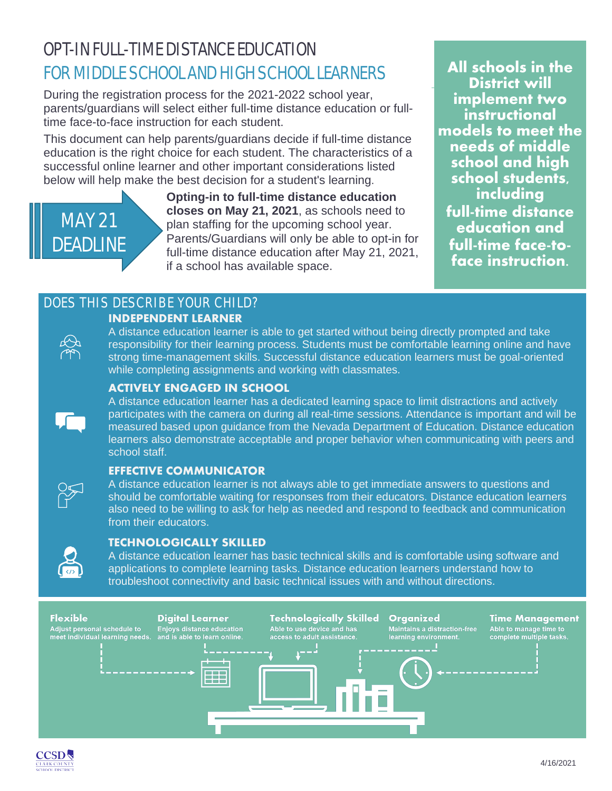# OPT-IN FULL-TIME DISTANCE EDUCATION FOR MIDDLE SCHOOL AND HIGH SCHOOL LEARNERS **All schools in the**

During the registration process for the 2021-2022 school year, parents/guardians will select either full-time distance education or fulltime face-to-face instruction for each student.

This document can help parents/guardians decide if full-time distance education is the right choice for each student. The characteristics of a successful online learner and other important considerations listed below will help make the best decision for a student's learning.



**Opting-in to full-time distance education closes on May 21, 2021**, as schools need to plan staffing for the upcoming school year. Parents/Guardians will only be able to opt-in for full-time distance education after May 21, 2021, if a school has available space.

**District will implement two instructional models to meet the needs of middle school and high school students, including full-time distance education and full-time face-to- face instruction.**

### DOES THIS DESCRIBE YOUR CHILD? **INDEPENDENT LEARNER**



A distance education learner is able to get started without being directly prompted and take responsibility for their learning process. Students must be comfortable learning online and have strong time-management skills. Successful distance education learners must be goal-oriented while completing assignments and working with classmates.

### **ACTIVELY ENGAGED IN SCHOOL**



A distance education learner has a dedicated learning space to limit distractions and actively participates with the camera on during all real-time sessions. Attendance is important and will be measured based upon guidance from the Nevada Department of Education. Distance education learners also demonstrate acceptable and proper behavior when communicating with peers and school staff.

### **EFFECTIVE COMMUNICATOR**

A distance education learner is not always able to get immediate answers to questions and should be comfortable waiting for responses from their educators. Distance education learners also need to be willing to ask for help as needed and respond to feedback and communication from their educators.



### **TECHNOLOGICALLY SKILLED**

A distance education learner has basic technical skills and is comfortable using software and applications to complete learning tasks. Distance education learners understand how to troubleshoot connectivity and basic technical issues with and without directions.



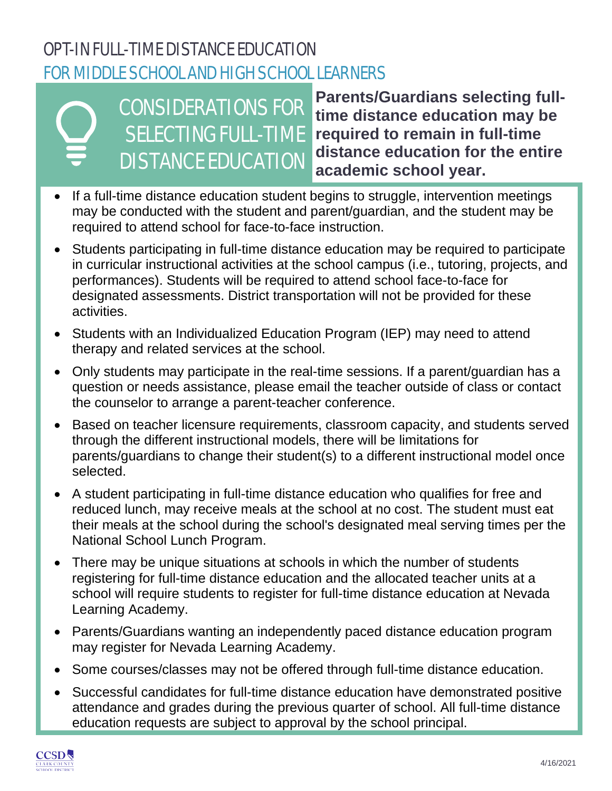# OPT-IN FULL-TIME DISTANCE EDUCATION FOR MIDDLE SCHOOL AND HIGH SCHOOL LEARNERS

# CONSIDERATIONS FOR SELECTING FULL-TIME DISTANCE EDUCATION

**Parents/Guardians selecting fulltime distance education may be required to remain in full-time distance education for the entire academic school year.**

- If a full-time distance education student begins to struggle, intervention meetings may be conducted with the student and parent/guardian, and the student may be required to attend school for face-to-face instruction.
- Students participating in full-time distance education may be required to participate in curricular instructional activities at the school campus (i.e., tutoring, projects, and performances). Students will be required to attend school face-to-face for designated assessments. District transportation will not be provided for these activities.
- Students with an Individualized Education Program (IEP) may need to attend therapy and related services at the school.
- Only students may participate in the real-time sessions. If a parent/guardian has a question or needs assistance, please email the teacher outside of class or contact the counselor to arrange a parent-teacher conference.
- Based on teacher licensure requirements, classroom capacity, and students served through the different instructional models, there will be limitations for parents/guardians to change their student(s) to a different instructional model once selected.
- A student participating in full-time distance education who qualifies for free and reduced lunch, may receive meals at the school at no cost. The student must eat their meals at the school during the school's designated meal serving times per the National School Lunch Program.
- There may be unique situations at schools in which the number of students registering for full-time distance education and the allocated teacher units at a school will require students to register for full-time distance education at Nevada Learning Academy.
- Parents/Guardians wanting an independently paced distance education program may register for Nevada Learning Academy.
- Some courses/classes may not be offered through full-time distance education.
- Successful candidates for full-time distance education have demonstrated positive attendance and grades during the previous quarter of school. All full-time distance education requests are subject to approval by the school principal.